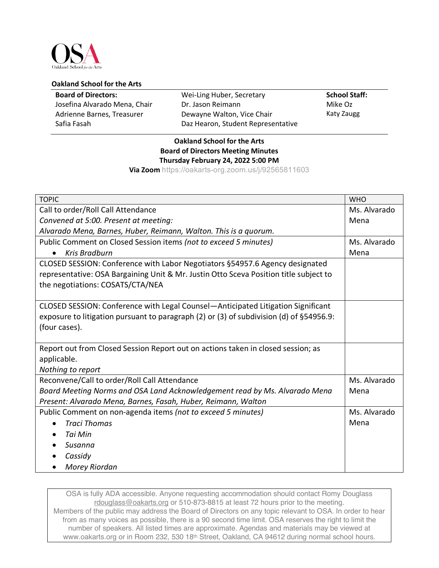

## **Oakland School for the Arts**

| <b>Board of Directors:</b>    | Wei-Ling Huber, Secretary          | <b>School Staff:</b> |
|-------------------------------|------------------------------------|----------------------|
| Josefina Alvarado Mena, Chair | Dr. Jason Reimann                  | Mike Oz              |
| Adrienne Barnes, Treasurer    | Dewayne Walton, Vice Chair         | Katy Zaugg           |
| Safia Fasah                   | Daz Hearon, Student Representative |                      |

## **Oakland School for the Arts Board of Directors Meeting Minutes Thursday February 24, 2022 5:00 PM**

**Via Zoom** https://oakarts-org.zoom.us/j/92565811603

| <b>TOPIC</b>                                                                            | <b>WHO</b>   |
|-----------------------------------------------------------------------------------------|--------------|
| Call to order/Roll Call Attendance                                                      | Ms. Alvarado |
| Convened at 5:00. Present at meeting:                                                   | Mena         |
| Alvarado Mena, Barnes, Huber, Reimann, Walton. This is a quorum.                        |              |
| Public Comment on Closed Session items (not to exceed 5 minutes)                        | Ms. Alvarado |
| <b>Kris Bradburn</b>                                                                    | Mena         |
| CLOSED SESSION: Conference with Labor Negotiators §54957.6 Agency designated            |              |
| representative: OSA Bargaining Unit & Mr. Justin Otto Sceva Position title subject to   |              |
| the negotiations: COSATS/CTA/NEA                                                        |              |
|                                                                                         |              |
| CLOSED SESSION: Conference with Legal Counsel-Anticipated Litigation Significant        |              |
| exposure to litigation pursuant to paragraph (2) or (3) of subdivision (d) of §54956.9: |              |
| (four cases).                                                                           |              |
|                                                                                         |              |
| Report out from Closed Session Report out on actions taken in closed session; as        |              |
| applicable.                                                                             |              |
| Nothing to report                                                                       |              |
| Reconvene/Call to order/Roll Call Attendance                                            | Ms. Alvarado |
| Board Meeting Norms and OSA Land Acknowledgement read by Ms. Alvarado Mena              | Mena         |
| Present: Alvarado Mena, Barnes, Fasah, Huber, Reimann, Walton                           |              |
| Public Comment on non-agenda items (not to exceed 5 minutes)                            | Ms. Alvarado |
| <b>Traci Thomas</b>                                                                     | Mena         |
| Tai Min                                                                                 |              |
| Susanna                                                                                 |              |
| Cassidy                                                                                 |              |
| Morey Riordan                                                                           |              |

OSA is fully ADA accessible. Anyone requesting accommodation should contact Romy Douglass rdouglass@oakarts.org or 510-873-8815 at least 72 hours prior to the meeting. Members of the public may address the Board of Directors on any topic relevant to OSA. In order to hear from as many voices as possible, there is a 90 second time limit. OSA reserves the right to limit the number of speakers. All listed times are approximate. Agendas and materials may be viewed at www.oakarts.org or in Room 232, 530 18th Street, Oakland, CA 94612 during normal school hours.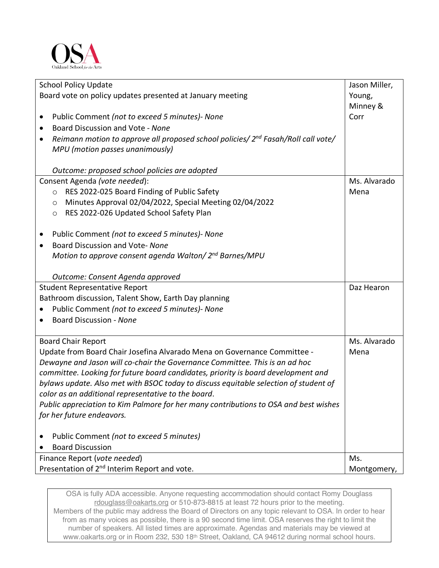

| <b>School Policy Update</b><br>Board vote on policy updates presented at January meeting           | Jason Miller,<br>Young, |  |
|----------------------------------------------------------------------------------------------------|-------------------------|--|
|                                                                                                    | Minney &                |  |
| Public Comment (not to exceed 5 minutes)- None<br>$\bullet$                                        | Corr                    |  |
| Board Discussion and Vote - None<br>$\bullet$                                                      |                         |  |
| Reimann motion to approve all proposed school policies/ 2 <sup>nd</sup> Fasah/Roll call vote/<br>٠ |                         |  |
| MPU (motion passes unanimously)                                                                    |                         |  |
|                                                                                                    |                         |  |
| Outcome: proposed school policies are adopted                                                      |                         |  |
| Consent Agenda (vote needed):                                                                      | Ms. Alvarado            |  |
| RES 2022-025 Board Finding of Public Safety<br>$\circ$                                             | Mena                    |  |
| Minutes Approval 02/04/2022, Special Meeting 02/04/2022<br>$\circ$                                 |                         |  |
| RES 2022-026 Updated School Safety Plan<br>$\circ$                                                 |                         |  |
|                                                                                                    |                         |  |
| Public Comment (not to exceed 5 minutes) - None<br>$\bullet$                                       |                         |  |
| Board Discussion and Vote- None<br>$\bullet$                                                       |                         |  |
| Motion to approve consent agenda Walton/2 <sup>nd</sup> Barnes/MPU                                 |                         |  |
|                                                                                                    |                         |  |
| Outcome: Consent Agenda approved                                                                   |                         |  |
| <b>Student Representative Report</b>                                                               | Daz Hearon              |  |
| Bathroom discussion, Talent Show, Earth Day planning                                               |                         |  |
| Public Comment (not to exceed 5 minutes)- None                                                     |                         |  |
| Board Discussion - None                                                                            |                         |  |
| <b>Board Chair Report</b>                                                                          | Ms. Alvarado            |  |
| Update from Board Chair Josefina Alvarado Mena on Governance Committee -                           | Mena                    |  |
| Dewayne and Jason will co-chair the Governance Committee. This is an ad hoc                        |                         |  |
| committee. Looking for future board candidates, priority is board development and                  |                         |  |
| bylaws update. Also met with BSOC today to discuss equitable selection of student of               |                         |  |
| color as an additional representative to the board.                                                |                         |  |
| Public appreciation to Kim Palmore for her many contributions to OSA and best wishes               |                         |  |
| for her future endeavors.                                                                          |                         |  |
|                                                                                                    |                         |  |
| Public Comment (not to exceed 5 minutes)                                                           |                         |  |
| <b>Board Discussion</b>                                                                            |                         |  |
| Finance Report (vote needed)                                                                       | Ms.                     |  |
| Presentation of 2 <sup>nd</sup> Interim Report and vote.                                           | Montgomery,             |  |

OSA is fully ADA accessible. Anyone requesting accommodation should contact Romy Douglass rdouglass@oakarts.org or 510-873-8815 at least 72 hours prior to the meeting. Members of the public may address the Board of Directors on any topic relevant to OSA. In order to hear from as many voices as possible, there is a 90 second time limit. OSA reserves the right to limit the number of speakers. All listed times are approximate. Agendas and materials may be viewed at www.oakarts.org or in Room 232, 530 18th Street, Oakland, CA 94612 during normal school hours.